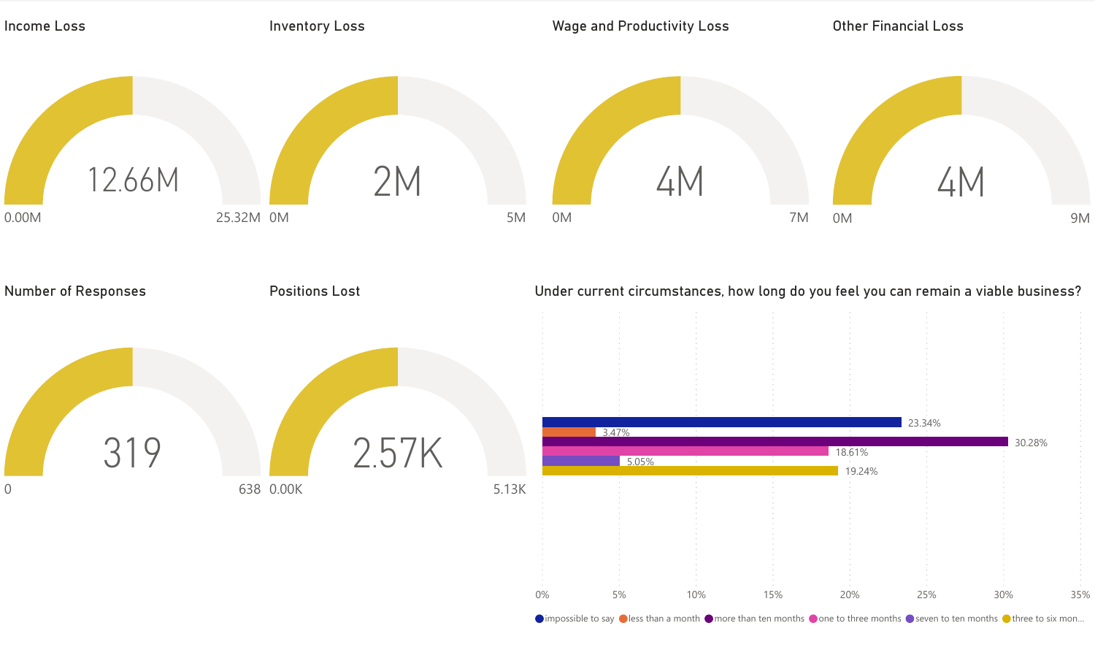